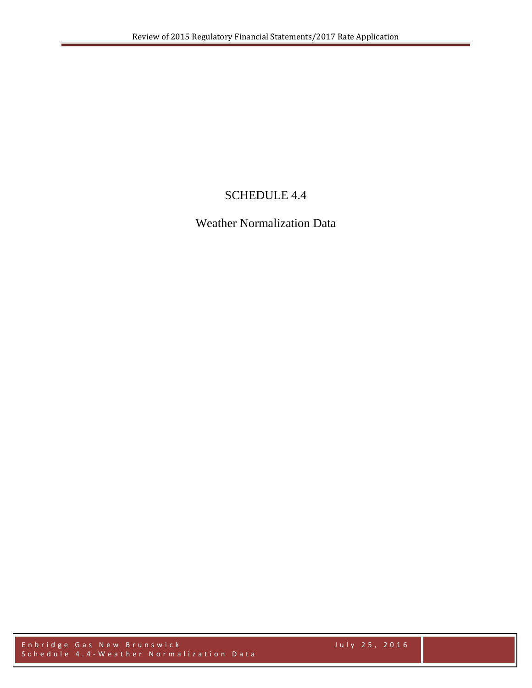## SCHEDULE 4.4

Weather Normalization Data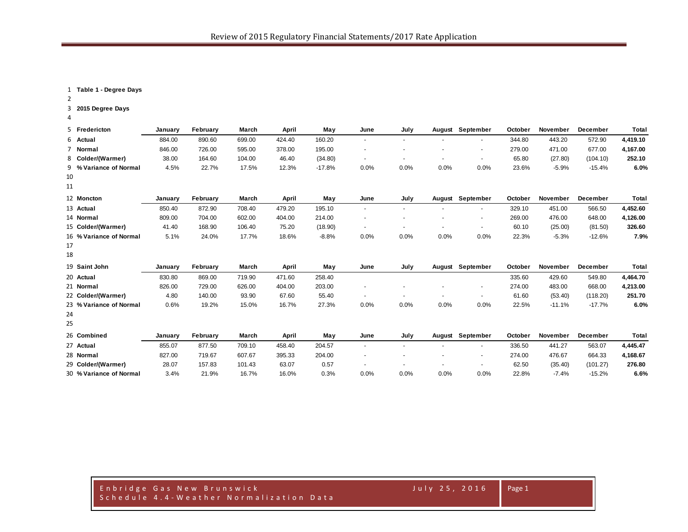**Table 1 - Degree Days**

**2015 Degree Days**

|                | 5 Fredericton           | January | February | March  | April  | May      | June                     | July   | August                   | September                | October | November | December | <b>Total</b> |
|----------------|-------------------------|---------|----------|--------|--------|----------|--------------------------|--------|--------------------------|--------------------------|---------|----------|----------|--------------|
|                | 6 Actual                | 884.00  | 890.60   | 699.00 | 424.40 | 160.20   | $\sim$                   | $\sim$ |                          | ٠                        | 344.80  | 443.20   | 572.90   | 4,419.10     |
| $\overline{7}$ | Normal                  | 846.00  | 726.00   | 595.00 | 378.00 | 195.00   | $\sim$                   |        | $\overline{\phantom{a}}$ | $\sim$                   | 279.00  | 471.00   | 677.00   | 4,167.00     |
|                | 8 Colder/(Warmer)       | 38.00   | 164.60   | 104.00 | 46.40  | (34.80)  | $\sim$                   |        |                          | $\overline{\phantom{a}}$ | 65.80   | (27.80)  | (104.10) | 252.10       |
|                | 9 % Variance of Normal  | 4.5%    | 22.7%    | 17.5%  | 12.3%  | $-17.8%$ | 0.0%                     | 0.0%   | 0.0%                     | 0.0%                     | 23.6%   | $-5.9%$  | $-15.4%$ | 6.0%         |
| 10             |                         |         |          |        |        |          |                          |        |                          |                          |         |          |          |              |
| 11             |                         |         |          |        |        |          |                          |        |                          |                          |         |          |          |              |
|                | 12 Moncton              | January | February | March  | April  | May      | June                     | July   | August                   | September                | October | November | December | Total        |
|                | 13 Actual               | 850.40  | 872.90   | 708.40 | 479.20 | 195.10   | $\sim$                   | $\sim$ | $\overline{\phantom{a}}$ | $\sim$                   | 329.10  | 451.00   | 566.50   | 4,452.60     |
|                | 14 Normal               | 809.00  | 704.00   | 602.00 | 404.00 | 214.00   | $\overline{\phantom{a}}$ |        | $\overline{\phantom{a}}$ | $\sim$                   | 269.00  | 476.00   | 648.00   | 4,126.00     |
|                | 15 Colder/(Warmer)      | 41.40   | 168.90   | 106.40 | 75.20  | (18.90)  | $\sim$                   |        |                          | $\sim$                   | 60.10   | (25.00)  | (81.50)  | 326.60       |
|                | 16 % Variance of Normal | 5.1%    | 24.0%    | 17.7%  | 18.6%  | $-8.8%$  | 0.0%                     | 0.0%   | 0.0%                     | 0.0%                     | 22.3%   | $-5.3%$  | $-12.6%$ | 7.9%         |
| 17             |                         |         |          |        |        |          |                          |        |                          |                          |         |          |          |              |
| 18             |                         |         |          |        |        |          |                          |        |                          |                          |         |          |          |              |
|                | 19 Saint John           | January | February | March  | April  | May      | June                     | July   | August                   | September                | October | November | December | Total        |
|                | 20 Actual               | 830.80  | 869.00   | 719.90 | 471.60 | 258.40   |                          |        |                          |                          | 335.60  | 429.60   | 549.80   | 4,464.70     |
|                | 21 Normal               | 826.00  | 729.00   | 626.00 | 404.00 | 203.00   | $\tilde{\phantom{a}}$    |        |                          | $\sim$                   | 274.00  | 483.00   | 668.00   | 4,213.00     |
|                | 22 Colder/(Warmer)      | 4.80    | 140.00   | 93.90  | 67.60  | 55.40    | $\sim$                   | $\sim$ |                          | $\sim$                   | 61.60   | (53.40)  | (118.20) | 251.70       |
|                | 23 % Variance of Normal | 0.6%    | 19.2%    | 15.0%  | 16.7%  | 27.3%    | 0.0%                     | 0.0%   | 0.0%                     | 0.0%                     | 22.5%   | $-11.1%$ | $-17.7%$ | 6.0%         |
| 24             |                         |         |          |        |        |          |                          |        |                          |                          |         |          |          |              |
| 25             |                         |         |          |        |        |          |                          |        |                          |                          |         |          |          |              |
|                | 26 Combined             | January | February | March  | April  | May      | June                     | July   | August                   | September                | October | November | December | Total        |
|                | 27 Actual               | 855.07  | 877.50   | 709.10 | 458.40 | 204.57   | $\sim$                   | $\sim$ |                          | $\sim$                   | 336.50  | 441.27   | 563.07   | 4,445.47     |
|                | 28 Normal               | 827.00  | 719.67   | 607.67 | 395.33 | 204.00   |                          |        |                          | ٠                        | 274.00  | 476.67   | 664.33   | 4,168.67     |
|                | 29 Colder/(Warmer)      | 28.07   | 157.83   | 101.43 | 63.07  | 0.57     |                          |        |                          | $\sim$                   | 62.50   | (35.40)  | (101.27) | 276.80       |
|                | 30 % Variance of Normal | 3.4%    | 21.9%    | 16.7%  | 16.0%  | 0.3%     | 0.0%                     | 0.0%   | 0.0%                     | 0.0%                     | 22.8%   | $-7.4%$  | $-15.2%$ | 6.6%         |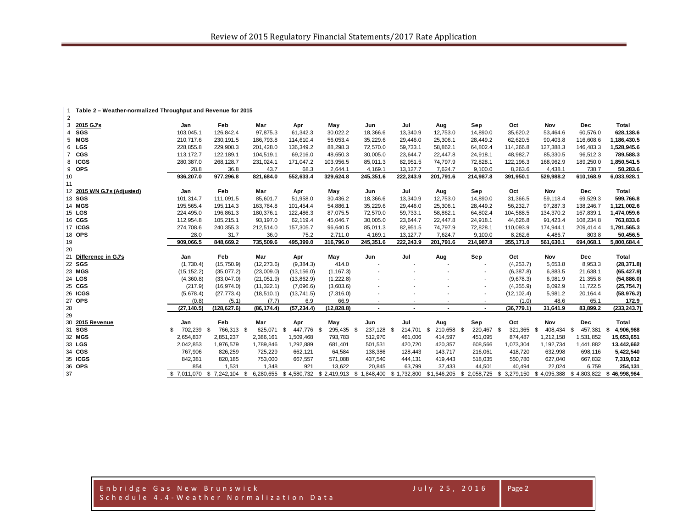| 2  |                            |                |                    |             |                   |             |                          |           |                  |                          |             |                    |           |                 |
|----|----------------------------|----------------|--------------------|-------------|-------------------|-------------|--------------------------|-----------|------------------|--------------------------|-------------|--------------------|-----------|-----------------|
|    | 3 2015 GJ's                | Jan            | Feb                | Mar         | Apr               | May         | Jun                      | Jul       | Aug              | Sep                      | Oct         | Nov                | Dec       | Total           |
|    | 4 SGS                      | 103,045.1      | 126,842.4          | 97,875.3    | 61,342.3          | 30,022.2    | 18,366.6                 | 13,340.9  | 12,753.0         | 14,890.0                 | 35,620.2    | 53,464.6           | 60,576.0  | 628,138.6       |
|    | 5 MGS                      | 210,717.6      | 230, 191.5         | 186,793.8   | 114,610.4         | 56,053.4    | 35,229.6                 | 29,446.0  | 25,306.1         | 28,449.2                 | 62,620.5    | 90,403.8           | 116,608.6 | 1,186,430.5     |
|    | 6 LGS                      | 228,855.8      | 229,908.3          | 201,428.0   | 136,349.2         | 88,298.3    | 72,570.0                 | 59,733.1  | 58,862.1         | 64,802.4                 | 114,266.8   | 127,388.3          | 146,483.3 | 1,528,945.6     |
|    | 7 CGS                      | 113, 172.7     | 122, 189.1         | 104,519.1   | 69,216.0          | 48,650.3    | 30,005.0                 | 23,644.7  | 22,447.8         | 24,918.1                 | 48,982.7    | 85,330.5           | 96,512.3  | 789,588.3       |
|    | 8 ICGS                     | 280,387.0      | 268,128.7          | 231,024.1   | 171,047.2         | 103,956.5   | 85,011.3                 | 82,951.5  | 74,797.9         | 72,828.1                 | 122,196.3   | 168,962.9          | 189,250.0 | 1,850,541.5     |
|    | 9 OPS                      | 28.8           | 36.8               | 43.7        | 68.3              | 2,644.1     | 4.169.1                  | 13, 127.7 | 7,624.7          | 9.100.0                  | 8,263.6     | 4,438.1            | 738.7     | 50,283.6        |
| 10 |                            | 936,207.0      | 977,296.8          | 821,684.0   | 552,633.4         | 329,624.8   | 245,351.6                | 222,243.9 | 201,791.6        | 214,987.8                | 391,950.1   | 529,988.2          | 610,168.9 | 6,033,928.1     |
| 11 |                            |                |                    |             |                   |             |                          |           |                  |                          |             |                    |           |                 |
|    | 12 2015 WN GJ's (Adjusted) | Jan            | Feb                | Mar         | Apr               | May         | Jun                      | Jul       | Aug              | Sep                      | Oct         | Nov                | Dec       | Total           |
|    | 13 SGS                     | 101,314.7      | 111,091.5          | 85,601.7    | 51,958.0          | 30,436.2    | 18,366.6                 | 13,340.9  | 12,753.0         | 14,890.0                 | 31,366.5    | 59,118.4           | 69,529.3  | 599,766.8       |
|    | 14 MGS                     | 195.565.4      | 195,114.3          | 163.784.8   | 101,454.4         | 54,886.1    | 35,229.6                 | 29,446.0  | 25,306.1         | 28,449.2                 | 56,232.7    | 97,287.3           | 138,246.7 | 1,121,002.6     |
|    | 15 LGS                     | 224,495.0      | 196,861.3          | 180,376.1   | 122,486.3         | 87,075.5    | 72,570.0                 | 59,733.1  | 58,862.1         | 64,802.4                 | 104,588.5   | 134,370.2          | 167,839.1 | 1,474,059.6     |
|    | 16 CGS                     | 112,954.8      | 105,215.1          | 93,197.0    | 62,119.4          | 45,046.7    | 30,005.0                 | 23,644.7  | 22,447.8         | 24,918.1                 | 44,626.8    | 91,423.4           | 108,234.8 | 763,833.6       |
|    | 17 ICGS                    | 274,708.6      | 240,355.3          | 212,514.0   | 157,305.7         | 96,640.5    | 85,011.3                 | 82,951.5  | 74,797.9         | 72,828.1                 | 110,093.9   | 174,944.1          | 209,414.4 | 1,791,565.3     |
|    | 18 OPS                     | 28.0           | 31.7               | 36.0        | 75.2              | 2,711.0     | 4,169.1                  | 13, 127.7 | 7,624.7          | 9,100.0                  | 8,262.6     | 4,486.7            | 803.8     | 50,456.5        |
|    |                            | 909,066.5      | 848,669.2          | 735,509.6   | 495,399.0         | 316,796.0   | 245,351.6                | 222,243.9 | 201,791.6        | 214,987.8                | 355,171.0   | 561,630.1          | 694,068.1 | 5,800,684.4     |
| 19 |                            |                |                    |             |                   |             |                          |           |                  |                          |             |                    |           |                 |
| 20 |                            |                |                    |             |                   |             |                          |           |                  |                          |             |                    |           |                 |
|    | 21 Difference in GJ's      | Jan            | Feb                | Mar         | Apr               | May         | Jun                      | Jul       | Aug              | Sep                      | Oct         | Nov                | Dec       | Total           |
|    | 22 SGS                     | (1,730.4)      | (15, 750.9)        | (12, 273.6) | (9,384.3)         | 414.0       |                          |           |                  |                          | (4,253.7)   | 5,653.8            | 8,953.3   | (28, 371.8)     |
|    | 23 MGS                     | (15, 152.2)    | (35,077.2)         | (23,009.0)  | (13, 156.0)       | (1, 167.3)  |                          |           |                  | $\blacksquare$           | (6, 387.8)  | 6,883.5            | 21,638.1  | (65, 427.9)     |
|    | 24 LGS                     | (4,360.8)      | (33,047.0)         | (21,051.9)  | (13, 862.9)       | (1, 222.8)  |                          |           |                  |                          | (9,678.3)   | 6,981.9            | 21,355.8  | (54, 886.0)     |
|    | 25 CGS                     | (217.9)        | (16, 974.0)        | (11, 322.1) | (7,096.6)         | (3,603.6)   |                          |           |                  | $\blacksquare$           | (4, 355.9)  | 6,092.9            | 11,722.5  | (25, 754.7)     |
|    | <b>26 ICGS</b>             | (5,678.4)      | (27, 773.4)        | (18, 510.1) | (13, 741.5)       | (7,316.0)   |                          |           |                  | $\overline{\phantom{a}}$ | (12, 102.4) | 5,981.2            | 20,164.4  | (58, 976.2)     |
|    | 27 OPS                     | (0.8)          | (5.1)              | (7.7)       | 6.9               | 66.9        |                          |           |                  | $\blacksquare$           | (1.0)       | 48.6               | 65.1      | 172.9           |
| 28 |                            | (27, 140.5)    | (128, 627.6)       | (86, 174.4) | (57, 234.4)       | (12, 828.8) | $\overline{\phantom{a}}$ |           |                  | $\blacksquare$           | (36, 779.1) | 31,641.9           | 83,899.2  | (233, 243.7)    |
| 29 |                            |                |                    |             |                   |             |                          |           |                  |                          |             |                    |           |                 |
|    | 30 2015 Revenue            | Jan            | Feb                | Mar         | Apr               | May         | Jun                      | Jul       | Aug              | Sep                      | Oct         | Nov                | Dec       | Total           |
|    | 31 SGS                     | \$.<br>702,239 | 766,313 \$<br>- \$ | 625,071     | -\$<br>447.776 \$ | 295,435 \$  | 237,128 \$               | 214,701   | Ŝ.<br>210,658 \$ | 220,467 \$               | 321,365     | 408,434 \$<br>- \$ | 457.381   | \$<br>4,906,968 |
|    | 32 MGS                     | 2,654,837      | 2,851,237          | 2,386,161   | 1,509,468         | 793,783     | 512,970                  | 461,006   | 414,597          | 451,095                  | 874,487     | 1,212,158          | 1,531,852 | 15,653,651      |
|    | 33 LGS                     | 2,042,853      | 1,976,579          | 1,789,846   | 1,292,889         | 681,401     | 501,531                  | 420,720   | 420,357          | 608,566                  | 1,073,304   | 1,192,734          | 1,441,882 | 13,442,662      |
|    | 34 CGS                     | 767,906        | 826,259            | 725,229     | 662,121           | 64,584      | 138,386                  | 128,443   | 143,717          | 216,061                  | 418,720     | 632,998            | 698,116   | 5,422,540       |
|    | 35 ICGS                    | 842,381        | 820,185            | 753,000     | 667,557           | 571,088     | 437,540                  | 444,131   | 419,443          | 518,035                  | 550,780     | 627,040            | 667,832   | 7,319,012       |
|    | 36 OPS                     | 854            | 1,531              | 1,348       | 921               | 13,622      | 20,845                   | 63,799    | 37,433           | 44,501                   | 40,494      | 22,024             | 6,759     | 254,131         |

**Table 2 – Weather-normalized Throughput and Revenue for 2015**